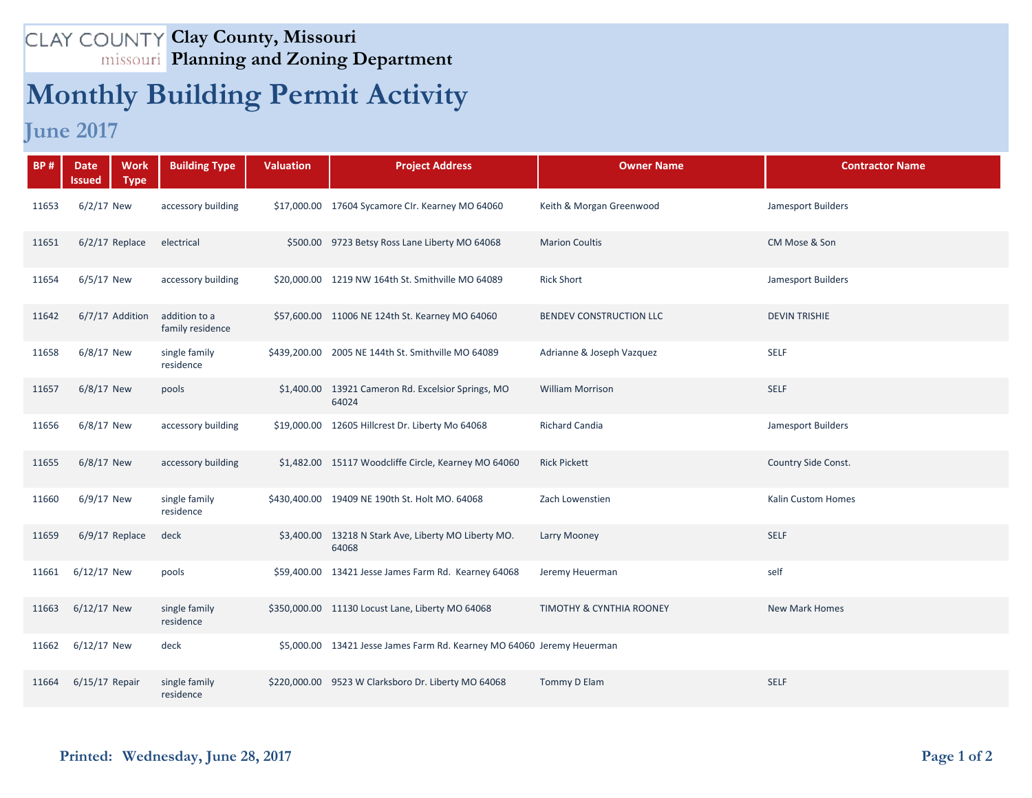## **Clay County, Missouri Planning and Zoning Department**

## **Monthly Building Permit Activity**

**June 2017**

| <b>BP#</b> | <b>Date</b><br>Issued | <b>Work</b><br><b>Building Type</b><br><b>Type</b> | <b>Valuation</b> | <b>Project Address</b>                                                 | <b>Owner Name</b>                   | <b>Contractor Name</b> |
|------------|-----------------------|----------------------------------------------------|------------------|------------------------------------------------------------------------|-------------------------------------|------------------------|
| 11653      | $6/2/17$ New          | accessory building                                 |                  | \$17,000.00 17604 Sycamore CIr. Kearney MO 64060                       | Keith & Morgan Greenwood            | Jamesport Builders     |
| 11651      | $6/2/17$ Replace      | electrical                                         |                  | \$500.00 9723 Betsy Ross Lane Liberty MO 64068                         | <b>Marion Coultis</b>               | CM Mose & Son          |
| 11654      | 6/5/17 New            | accessory building                                 |                  | \$20,000.00 1219 NW 164th St. Smithville MO 64089                      | <b>Rick Short</b>                   | Jamesport Builders     |
| 11642      | 6/7/17 Addition       | addition to a<br>family residence                  |                  | \$57,600.00 11006 NE 124th St. Kearney MO 64060                        | BENDEV CONSTRUCTION LLC             | <b>DEVIN TRISHIE</b>   |
| 11658      | 6/8/17 New            | single family<br>residence                         |                  | \$439,200.00 2005 NE 144th St. Smithville MO 64089                     | Adrianne & Joseph Vazquez           | <b>SELF</b>            |
| 11657      | $6/8/17$ New          | pools                                              |                  | \$1,400.00 13921 Cameron Rd. Excelsior Springs, MO<br>64024            | <b>William Morrison</b>             | <b>SELF</b>            |
| 11656      | 6/8/17 New            | accessory building                                 |                  | \$19,000.00 12605 Hillcrest Dr. Liberty Mo 64068                       | Richard Candia                      | Jamesport Builders     |
| 11655      | $6/8/17$ New          | accessory building                                 |                  | \$1,482.00 15117 Woodcliffe Circle, Kearney MO 64060                   | <b>Rick Pickett</b>                 | Country Side Const.    |
| 11660      | $6/9/17$ New          | single family<br>residence                         |                  | \$430,400.00 19409 NE 190th St. Holt MO. 64068                         | Zach Lowenstien                     | Kalin Custom Homes     |
| 11659      | $6/9/17$ Replace      | deck                                               |                  | \$3,400.00 13218 N Stark Ave, Liberty MO Liberty MO.<br>64068          | Larry Mooney                        | <b>SELF</b>            |
| 11661      | 6/12/17 New           | pools                                              |                  | \$59,400.00 13421 Jesse James Farm Rd. Kearney 64068                   | Jeremy Heuerman                     | self                   |
| 11663      | $6/12/17$ New         | single family<br>residence                         |                  | \$350,000.00 11130 Locust Lane, Liberty MO 64068                       | <b>TIMOTHY &amp; CYNTHIA ROONEY</b> | <b>New Mark Homes</b>  |
| 11662      | 6/12/17 New           | deck                                               |                  | \$5,000.00 13421 Jesse James Farm Rd. Kearney MO 64060 Jeremy Heuerman |                                     |                        |
| 11664      | $6/15/17$ Repair      | single family<br>residence                         |                  | \$220,000.00 9523 W Clarksboro Dr. Liberty MO 64068                    | Tommy D Elam                        | <b>SELF</b>            |